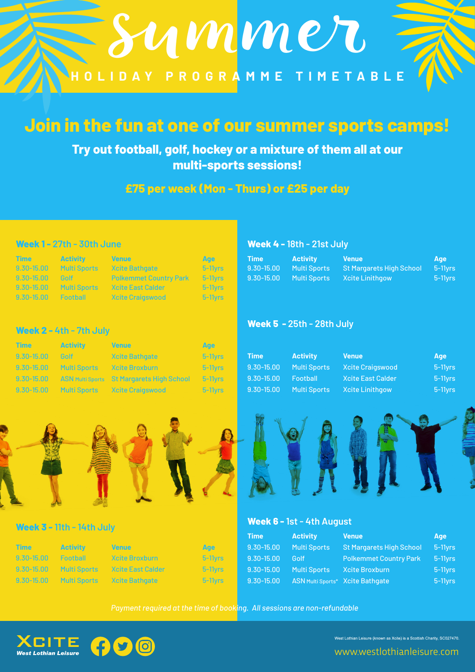

# **Join in the fun at one of our summer sports camps!**

**Try out football, golf, hockey or a mixture of them all at our multi-sports sessions!**

## **£75 per week (Mon - Thurs) or £25 per day**

#### **Week 1 - 27th - 30th June Week 4 - 18th - 21st July**

| <b>Time</b>            | <b>Activity</b>         | <b>Venue</b>                                                                                | <b>Age</b>             | <b>Time Activity</b> | <b>Senue</b>                                     | Age                   |
|------------------------|-------------------------|---------------------------------------------------------------------------------------------|------------------------|----------------------|--------------------------------------------------|-----------------------|
|                        | 9.30-15.00 Multi Sports | <b>19 Xoite Bathoate</b>                                                                    | $5-11$ vrs $\qquad$    |                      | 9.30-15.00 Multi Sports St Margarets High School | 5-11vrs               |
|                        |                         | 9.30-15.00 Golf Polkemmet Country Park                                                      | 5-11vrs -              |                      | 9.30-15.00 Multi Sports Xcite Linithgow          | $5-11$ <sub>Vrs</sub> |
|                        | 9.30-15.00 Multi Sports | <b>Kcite East Calder</b>                                                                    | $-5-11$ <sub>Vrs</sub> |                      |                                                  |                       |
| 9.30-15.00    Football |                         | <b>Example School</b> School School School School School School School School School School | 5-11vrs <b>19</b>      |                      |                                                  |                       |

**Week 5 - 25th - 28th July**

**Week 6 - 1st - 4th August**

#### **Week 2 - 4th - 7th July**

| <b>Time</b>     | <b>Activity</b> | <b>Venue</b>                                                 | Age                     |                |                         |                        |                       |
|-----------------|-----------------|--------------------------------------------------------------|-------------------------|----------------|-------------------------|------------------------|-----------------------|
| 9.30-15.00 Golf |                 | <b>Xcite Bathgate</b>                                        | $5 - 11$ <sub>Vrs</sub> | /Time          | Activity                | Venue                  | Age                   |
|                 |                 | 9.30-15.00 Multi Sports Xcite Broxburn                       | $-5-11$ vrs             |                | 9.30-15.00 Multi Sports | Xcite Craigswood       | $5-11$ <sub>Vrs</sub> |
|                 |                 | 9.30-15.00 ASN Multi Sports St Margarets High School 5-11yrs |                         | $9.30 - 15.00$ | <b>Football</b>         | Xcite East Calder      | $5-11$ vrs            |
|                 |                 | 9.30-15.00 Multi Sports Xcite Craigswood                     | 5-11vrs                 |                | 9.30-15.00 Multi Sports | <b>Xcite Linithgow</b> | $5-11$ vrs            |



### **Week 3 - 11th - 14th July**

#### **Time Activity Venue Age** 9.30-15.00 Football Xcite Broxburn 5-11yrs 9.30-15.00 Multi Sports Xcite East Calder 5-11yrs 9.30-15.00 Multi Sports Xcite Bathgate 5-11yrs **Time Activity Venue Age** 9.30-15.00 Multi Sports St Margarets High School 5-11yrs 9.30-15.00 Golf Polkemmet Country Park 5-11yrs 9.30-15.00 Multi Sports Xcite Broxburn 5-11yrs 9.30-15.00 ASN Multi Sports\* Xcite Bathgate 5-11yrs

*Payment required at the time of booking. All sessions are non-refundable*



West Lothian Leisure (known as Xcite) is a Scottish Charity, SC027470.

www.westlothianleisure.com